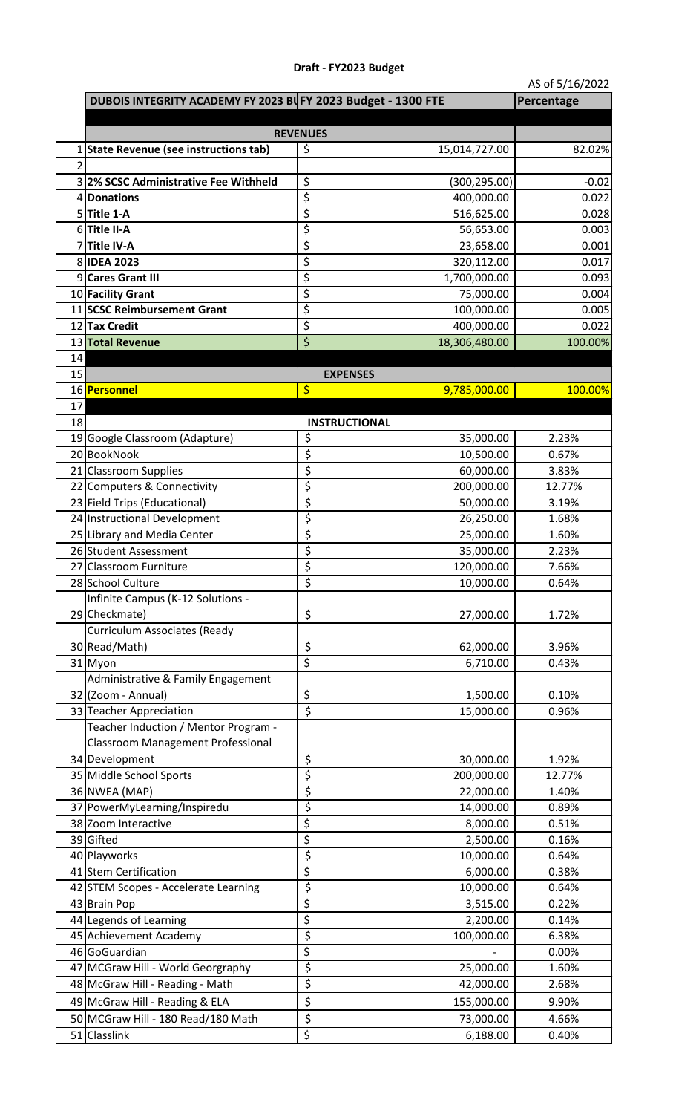## **Draft - FY2023 Budget**

AS of 5/16/2022

|                | DUBOIS INTEGRITY ACADEMY FY 2023 BUFY 2023 Budget - 1300 FTE |                         |                            | Percentage       |
|----------------|--------------------------------------------------------------|-------------------------|----------------------------|------------------|
|                |                                                              |                         |                            |                  |
|                |                                                              | <b>REVENUES</b>         |                            |                  |
|                | <b>State Revenue (see instructions tab)</b>                  | \$                      | 15,014,727.00              | 82.02%           |
| $\overline{2}$ | 32% SCSC Administrative Fee Withheld                         |                         |                            |                  |
|                | 4 Donations                                                  | \$<br>\$                | (300,295.00)<br>400,000.00 | $-0.02$<br>0.022 |
|                | $5$ Title 1-A                                                | \$                      | 516,625.00                 | 0.028            |
|                | 6Title II-A                                                  | \$                      | 56,653.00                  | 0.003            |
|                | 7Title IV-A                                                  | \$                      | 23,658.00                  | 0.001            |
|                | 8 IDEA 2023                                                  | \$                      | 320,112.00                 | 0.017            |
|                | 9 Cares Grant III                                            | \$                      | 1,700,000.00               | 0.093            |
|                | 10 Facility Grant                                            | \$                      | 75,000.00                  | 0.004            |
|                | 11 SCSC Reimbursement Grant                                  | \$                      | 100,000.00                 | 0.005            |
|                | 12 Tax Credit                                                | \$                      | 400,000.00                 | 0.022            |
|                | 13 Total Revenue                                             | \$                      | 18,306,480.00              | 100.00%          |
| 14             |                                                              |                         |                            |                  |
| 15             |                                                              |                         | <b>EXPENSES</b>            |                  |
|                | 16 Personnel                                                 | \$                      | 9,785,000.00               | 100.00%          |
| 17             |                                                              |                         |                            |                  |
| 18             |                                                              |                         | <b>INSTRUCTIONAL</b>       |                  |
|                | 19 Google Classroom (Adapture)                               | \$                      | 35,000.00                  | 2.23%            |
|                | 20 BookNook                                                  | \$<br>\$                | 10,500.00<br>60,000.00     | 0.67%<br>3.83%   |
|                | 21 Classroom Supplies<br>22 Computers & Connectivity         | \$                      | 200,000.00                 | 12.77%           |
|                | 23 Field Trips (Educational)                                 | \$                      | 50,000.00                  | 3.19%            |
|                | 24 Instructional Development                                 | \$                      | 26,250.00                  | 1.68%            |
|                | 25 Library and Media Center                                  | \$                      | 25,000.00                  | 1.60%            |
|                | 26 Student Assessment                                        | \$                      | 35,000.00                  | 2.23%            |
|                | 27 Classroom Furniture                                       | \$                      | 120,000.00                 | 7.66%            |
|                | 28 School Culture                                            | \$                      | 10,000.00                  | 0.64%            |
|                | Infinite Campus (K-12 Solutions -                            |                         |                            |                  |
|                | 29 Checkmate)                                                | \$                      | 27,000.00                  | 1.72%            |
|                | <b>Curriculum Associates (Ready</b>                          |                         |                            |                  |
|                | 30 Read/Math)                                                | \$                      | 62,000.00                  | 3.96%            |
|                | 31 Myon                                                      | $\overline{\mathsf{S}}$ | 6,710.00                   | 0.43%            |
|                | Administrative & Family Engagement                           |                         |                            |                  |
|                | 32 (Zoom - Annual)                                           | \$                      | 1,500.00                   | 0.10%            |
|                | 33 Teacher Appreciation                                      | $\overline{\xi}$        | 15,000.00                  | 0.96%            |
|                | Teacher Induction / Mentor Program -                         |                         |                            |                  |
|                | <b>Classroom Management Professional</b>                     |                         |                            |                  |
|                | 34 Development                                               | \$                      | 30,000.00                  | 1.92%            |
|                | 35 Middle School Sports                                      | \$                      | 200,000.00                 | 12.77%           |
|                | 36 NWEA (MAP)                                                | \$                      | 22,000.00                  | 1.40%            |
|                | 37 PowerMyLearning/Inspiredu                                 | \$                      | 14,000.00                  | 0.89%            |
|                | 38 Zoom Interactive                                          | \$                      | 8,000.00                   | 0.51%            |
|                | 39 Gifted                                                    | \$                      | 2,500.00                   | 0.16%            |
|                | 40 Playworks<br>41 Stem Certification                        | \$<br>\$                | 10,000.00<br>6,000.00      | 0.64%<br>0.38%   |
|                | 42 STEM Scopes - Accelerate Learning                         | \$                      | 10,000.00                  | 0.64%            |
|                | 43 Brain Pop                                                 | \$                      | 3,515.00                   | 0.22%            |
|                | 44 Legends of Learning                                       | \$                      | 2,200.00                   | 0.14%            |
|                | 45 Achievement Academy                                       | \$                      | 100,000.00                 | 6.38%            |
|                | 46 GoGuardian                                                | \$                      |                            | 0.00%            |
|                | 47 MCGraw Hill - World Georgraphy                            | \$                      | 25,000.00                  | 1.60%            |
|                | 48 McGraw Hill - Reading - Math                              | \$                      | 42,000.00                  | 2.68%            |
|                | 49 McGraw Hill - Reading & ELA                               | \$                      | 155,000.00                 | 9.90%            |
|                | 50 MCGraw Hill - 180 Read/180 Math                           | \$                      | 73,000.00                  | 4.66%            |
|                | 51 Classlink                                                 | $\overline{\xi}$        | 6,188.00                   | 0.40%            |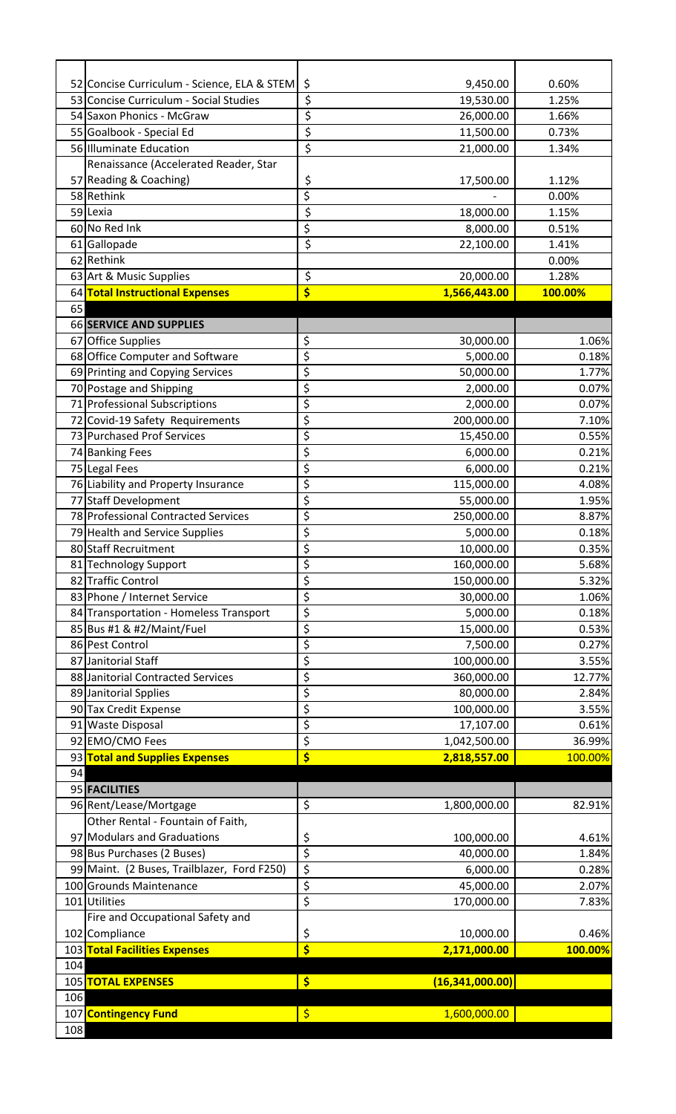| \$<br>53 Concise Curriculum - Social Studies<br>19,530.00<br>1.25%<br>\$<br>54 Saxon Phonics - McGraw<br>26,000.00<br>1.66%<br>\$<br>11,500.00<br>0.73%<br>55 Goalbook - Special Ed<br>\$<br>56 Illuminate Education<br>21,000.00<br>1.34%<br>Renaissance (Accelerated Reader, Star<br>57 Reading & Coaching)<br>\$<br>17,500.00<br>1.12%<br>\$<br>58 Rethink<br>0.00%<br>\$<br>59 Lexia<br>18,000.00<br>1.15%<br>\$<br>60 No Red Ink<br>8,000.00<br>0.51%<br>\$<br>61 Gallopade<br>22,100.00<br>1.41%<br>62 Rethink<br>0.00%<br>\$<br>63 Art & Music Supplies<br>1.28%<br>20,000.00<br>\$<br>1,566,443.00<br>64 Total Instructional Expenses<br>100.00%<br>65<br>66 SERVICE AND SUPPLIES<br>\$<br>67 Office Supplies<br>30,000.00<br>\$<br>68 Office Computer and Software<br>5,000.00<br>0.18%<br>\$<br>50,000.00<br>69 Printing and Copying Services<br>1.77%<br>\$<br>70 Postage and Shipping<br>2,000.00<br>0.07%<br>\$<br>71 Professional Subscriptions<br>2,000.00<br>0.07%<br>\$<br>72 Covid-19 Safety Requirements<br>200,000.00<br>7.10%<br>\$<br>73 Purchased Prof Services<br>15,450.00<br>\$<br>0.21%<br>74 Banking Fees<br>6,000.00<br>\$<br>75 Legal Fees<br>6,000.00<br>0.21%<br>\$<br>76 Liability and Property Insurance<br>115,000.00<br>4.08%<br>\$<br>77 Staff Development<br>55,000.00<br>1.95%<br>\$<br>78 Professional Contracted Services<br>250,000.00<br>8.87%<br>\$<br>79 Health and Service Supplies<br>5,000.00<br>0.18%<br>\$<br>80 Staff Recruitment<br>10,000.00<br>0.35%<br>\$<br>160,000.00<br>81 Technology Support<br>\$<br>82 Traffic Control<br>150,000.00<br>\$<br>83 Phone / Internet Service<br>30,000.00<br>1.06%<br>\$<br>84 Transportation - Homeless Transport<br>5,000.00<br>0.18%<br>\$<br>85 Bus #1 & #2/Maint/Fuel<br>15,000.00<br>\$<br>86 Pest Control<br>7,500.00<br>0.27%<br>\$<br>87 Janitorial Staff<br>100,000.00<br>3.55%<br>\$<br>88 Janitorial Contracted Services<br>360,000.00<br>12.77%<br>\$<br>89 Janitorial Spplies<br>80,000.00<br>2.84%<br>\$<br>90 Tax Credit Expense<br>100,000.00<br>3.55%<br>\$<br>91 Waste Disposal<br>17,107.00<br>0.61%<br>\$<br>92 EMO/CMO Fees<br>1,042,500.00<br>\$<br>93 Total and Supplies Expenses<br>2,818,557.00<br>100.00%<br>94<br>95 FACILITIES<br>\$<br>96 Rent/Lease/Mortgage<br>1,800,000.00<br>Other Rental - Fountain of Faith,<br>97 Modulars and Graduations<br>\$<br>100,000.00<br>\$<br>98 Bus Purchases (2 Buses)<br>40,000.00<br>\$<br>99 Maint. (2 Buses, Trailblazer, Ford F250)<br>6,000.00<br>0.28%<br>\$<br>100 Grounds Maintenance<br>45,000.00<br>\$<br>101 Utilities<br>7.83%<br>170,000.00<br>Fire and Occupational Safety and<br>102 Compliance<br>\$<br>10,000.00<br>\$<br>103 Total Facilities Expenses<br>2,171,000.00<br>100.00%<br>104<br>\$<br>(16, 341, 000.00)<br>105 TOTAL EXPENSES<br>106<br>\$<br>1,600,000.00<br>107 Contingency Fund<br>108 |                                             |                |       |
|-------------------------------------------------------------------------------------------------------------------------------------------------------------------------------------------------------------------------------------------------------------------------------------------------------------------------------------------------------------------------------------------------------------------------------------------------------------------------------------------------------------------------------------------------------------------------------------------------------------------------------------------------------------------------------------------------------------------------------------------------------------------------------------------------------------------------------------------------------------------------------------------------------------------------------------------------------------------------------------------------------------------------------------------------------------------------------------------------------------------------------------------------------------------------------------------------------------------------------------------------------------------------------------------------------------------------------------------------------------------------------------------------------------------------------------------------------------------------------------------------------------------------------------------------------------------------------------------------------------------------------------------------------------------------------------------------------------------------------------------------------------------------------------------------------------------------------------------------------------------------------------------------------------------------------------------------------------------------------------------------------------------------------------------------------------------------------------------------------------------------------------------------------------------------------------------------------------------------------------------------------------------------------------------------------------------------------------------------------------------------------------------------------------------------------------------------------------------------------------------------------------------------------------------------------------------------------------------------------------------------------------------------------------------------------------------------------------------------------------------------------------------------------------------------------------------------------------------------------------------------------------|---------------------------------------------|----------------|-------|
|                                                                                                                                                                                                                                                                                                                                                                                                                                                                                                                                                                                                                                                                                                                                                                                                                                                                                                                                                                                                                                                                                                                                                                                                                                                                                                                                                                                                                                                                                                                                                                                                                                                                                                                                                                                                                                                                                                                                                                                                                                                                                                                                                                                                                                                                                                                                                                                                                                                                                                                                                                                                                                                                                                                                                                                                                                                                                     | 52 Concise Curriculum - Science, ELA & STEM | \$<br>9,450.00 | 0.60% |
|                                                                                                                                                                                                                                                                                                                                                                                                                                                                                                                                                                                                                                                                                                                                                                                                                                                                                                                                                                                                                                                                                                                                                                                                                                                                                                                                                                                                                                                                                                                                                                                                                                                                                                                                                                                                                                                                                                                                                                                                                                                                                                                                                                                                                                                                                                                                                                                                                                                                                                                                                                                                                                                                                                                                                                                                                                                                                     |                                             |                |       |
| 1.06%<br>0.55%<br>5.32%<br>0.53%<br>36.99%<br>82.91%<br>4.61%<br>1.84%<br>2.07%<br>0.46%                                                                                                                                                                                                                                                                                                                                                                                                                                                                                                                                                                                                                                                                                                                                                                                                                                                                                                                                                                                                                                                                                                                                                                                                                                                                                                                                                                                                                                                                                                                                                                                                                                                                                                                                                                                                                                                                                                                                                                                                                                                                                                                                                                                                                                                                                                                                                                                                                                                                                                                                                                                                                                                                                                                                                                                            |                                             |                |       |
|                                                                                                                                                                                                                                                                                                                                                                                                                                                                                                                                                                                                                                                                                                                                                                                                                                                                                                                                                                                                                                                                                                                                                                                                                                                                                                                                                                                                                                                                                                                                                                                                                                                                                                                                                                                                                                                                                                                                                                                                                                                                                                                                                                                                                                                                                                                                                                                                                                                                                                                                                                                                                                                                                                                                                                                                                                                                                     |                                             |                |       |
|                                                                                                                                                                                                                                                                                                                                                                                                                                                                                                                                                                                                                                                                                                                                                                                                                                                                                                                                                                                                                                                                                                                                                                                                                                                                                                                                                                                                                                                                                                                                                                                                                                                                                                                                                                                                                                                                                                                                                                                                                                                                                                                                                                                                                                                                                                                                                                                                                                                                                                                                                                                                                                                                                                                                                                                                                                                                                     |                                             |                |       |
|                                                                                                                                                                                                                                                                                                                                                                                                                                                                                                                                                                                                                                                                                                                                                                                                                                                                                                                                                                                                                                                                                                                                                                                                                                                                                                                                                                                                                                                                                                                                                                                                                                                                                                                                                                                                                                                                                                                                                                                                                                                                                                                                                                                                                                                                                                                                                                                                                                                                                                                                                                                                                                                                                                                                                                                                                                                                                     |                                             |                |       |
|                                                                                                                                                                                                                                                                                                                                                                                                                                                                                                                                                                                                                                                                                                                                                                                                                                                                                                                                                                                                                                                                                                                                                                                                                                                                                                                                                                                                                                                                                                                                                                                                                                                                                                                                                                                                                                                                                                                                                                                                                                                                                                                                                                                                                                                                                                                                                                                                                                                                                                                                                                                                                                                                                                                                                                                                                                                                                     |                                             |                |       |
| 5.68%                                                                                                                                                                                                                                                                                                                                                                                                                                                                                                                                                                                                                                                                                                                                                                                                                                                                                                                                                                                                                                                                                                                                                                                                                                                                                                                                                                                                                                                                                                                                                                                                                                                                                                                                                                                                                                                                                                                                                                                                                                                                                                                                                                                                                                                                                                                                                                                                                                                                                                                                                                                                                                                                                                                                                                                                                                                                               |                                             |                |       |
|                                                                                                                                                                                                                                                                                                                                                                                                                                                                                                                                                                                                                                                                                                                                                                                                                                                                                                                                                                                                                                                                                                                                                                                                                                                                                                                                                                                                                                                                                                                                                                                                                                                                                                                                                                                                                                                                                                                                                                                                                                                                                                                                                                                                                                                                                                                                                                                                                                                                                                                                                                                                                                                                                                                                                                                                                                                                                     |                                             |                |       |
|                                                                                                                                                                                                                                                                                                                                                                                                                                                                                                                                                                                                                                                                                                                                                                                                                                                                                                                                                                                                                                                                                                                                                                                                                                                                                                                                                                                                                                                                                                                                                                                                                                                                                                                                                                                                                                                                                                                                                                                                                                                                                                                                                                                                                                                                                                                                                                                                                                                                                                                                                                                                                                                                                                                                                                                                                                                                                     |                                             |                |       |
|                                                                                                                                                                                                                                                                                                                                                                                                                                                                                                                                                                                                                                                                                                                                                                                                                                                                                                                                                                                                                                                                                                                                                                                                                                                                                                                                                                                                                                                                                                                                                                                                                                                                                                                                                                                                                                                                                                                                                                                                                                                                                                                                                                                                                                                                                                                                                                                                                                                                                                                                                                                                                                                                                                                                                                                                                                                                                     |                                             |                |       |
|                                                                                                                                                                                                                                                                                                                                                                                                                                                                                                                                                                                                                                                                                                                                                                                                                                                                                                                                                                                                                                                                                                                                                                                                                                                                                                                                                                                                                                                                                                                                                                                                                                                                                                                                                                                                                                                                                                                                                                                                                                                                                                                                                                                                                                                                                                                                                                                                                                                                                                                                                                                                                                                                                                                                                                                                                                                                                     |                                             |                |       |
|                                                                                                                                                                                                                                                                                                                                                                                                                                                                                                                                                                                                                                                                                                                                                                                                                                                                                                                                                                                                                                                                                                                                                                                                                                                                                                                                                                                                                                                                                                                                                                                                                                                                                                                                                                                                                                                                                                                                                                                                                                                                                                                                                                                                                                                                                                                                                                                                                                                                                                                                                                                                                                                                                                                                                                                                                                                                                     |                                             |                |       |
|                                                                                                                                                                                                                                                                                                                                                                                                                                                                                                                                                                                                                                                                                                                                                                                                                                                                                                                                                                                                                                                                                                                                                                                                                                                                                                                                                                                                                                                                                                                                                                                                                                                                                                                                                                                                                                                                                                                                                                                                                                                                                                                                                                                                                                                                                                                                                                                                                                                                                                                                                                                                                                                                                                                                                                                                                                                                                     |                                             |                |       |
|                                                                                                                                                                                                                                                                                                                                                                                                                                                                                                                                                                                                                                                                                                                                                                                                                                                                                                                                                                                                                                                                                                                                                                                                                                                                                                                                                                                                                                                                                                                                                                                                                                                                                                                                                                                                                                                                                                                                                                                                                                                                                                                                                                                                                                                                                                                                                                                                                                                                                                                                                                                                                                                                                                                                                                                                                                                                                     |                                             |                |       |
|                                                                                                                                                                                                                                                                                                                                                                                                                                                                                                                                                                                                                                                                                                                                                                                                                                                                                                                                                                                                                                                                                                                                                                                                                                                                                                                                                                                                                                                                                                                                                                                                                                                                                                                                                                                                                                                                                                                                                                                                                                                                                                                                                                                                                                                                                                                                                                                                                                                                                                                                                                                                                                                                                                                                                                                                                                                                                     |                                             |                |       |
|                                                                                                                                                                                                                                                                                                                                                                                                                                                                                                                                                                                                                                                                                                                                                                                                                                                                                                                                                                                                                                                                                                                                                                                                                                                                                                                                                                                                                                                                                                                                                                                                                                                                                                                                                                                                                                                                                                                                                                                                                                                                                                                                                                                                                                                                                                                                                                                                                                                                                                                                                                                                                                                                                                                                                                                                                                                                                     |                                             |                |       |
|                                                                                                                                                                                                                                                                                                                                                                                                                                                                                                                                                                                                                                                                                                                                                                                                                                                                                                                                                                                                                                                                                                                                                                                                                                                                                                                                                                                                                                                                                                                                                                                                                                                                                                                                                                                                                                                                                                                                                                                                                                                                                                                                                                                                                                                                                                                                                                                                                                                                                                                                                                                                                                                                                                                                                                                                                                                                                     |                                             |                |       |
|                                                                                                                                                                                                                                                                                                                                                                                                                                                                                                                                                                                                                                                                                                                                                                                                                                                                                                                                                                                                                                                                                                                                                                                                                                                                                                                                                                                                                                                                                                                                                                                                                                                                                                                                                                                                                                                                                                                                                                                                                                                                                                                                                                                                                                                                                                                                                                                                                                                                                                                                                                                                                                                                                                                                                                                                                                                                                     |                                             |                |       |
|                                                                                                                                                                                                                                                                                                                                                                                                                                                                                                                                                                                                                                                                                                                                                                                                                                                                                                                                                                                                                                                                                                                                                                                                                                                                                                                                                                                                                                                                                                                                                                                                                                                                                                                                                                                                                                                                                                                                                                                                                                                                                                                                                                                                                                                                                                                                                                                                                                                                                                                                                                                                                                                                                                                                                                                                                                                                                     |                                             |                |       |
|                                                                                                                                                                                                                                                                                                                                                                                                                                                                                                                                                                                                                                                                                                                                                                                                                                                                                                                                                                                                                                                                                                                                                                                                                                                                                                                                                                                                                                                                                                                                                                                                                                                                                                                                                                                                                                                                                                                                                                                                                                                                                                                                                                                                                                                                                                                                                                                                                                                                                                                                                                                                                                                                                                                                                                                                                                                                                     |                                             |                |       |
|                                                                                                                                                                                                                                                                                                                                                                                                                                                                                                                                                                                                                                                                                                                                                                                                                                                                                                                                                                                                                                                                                                                                                                                                                                                                                                                                                                                                                                                                                                                                                                                                                                                                                                                                                                                                                                                                                                                                                                                                                                                                                                                                                                                                                                                                                                                                                                                                                                                                                                                                                                                                                                                                                                                                                                                                                                                                                     |                                             |                |       |
|                                                                                                                                                                                                                                                                                                                                                                                                                                                                                                                                                                                                                                                                                                                                                                                                                                                                                                                                                                                                                                                                                                                                                                                                                                                                                                                                                                                                                                                                                                                                                                                                                                                                                                                                                                                                                                                                                                                                                                                                                                                                                                                                                                                                                                                                                                                                                                                                                                                                                                                                                                                                                                                                                                                                                                                                                                                                                     |                                             |                |       |
|                                                                                                                                                                                                                                                                                                                                                                                                                                                                                                                                                                                                                                                                                                                                                                                                                                                                                                                                                                                                                                                                                                                                                                                                                                                                                                                                                                                                                                                                                                                                                                                                                                                                                                                                                                                                                                                                                                                                                                                                                                                                                                                                                                                                                                                                                                                                                                                                                                                                                                                                                                                                                                                                                                                                                                                                                                                                                     |                                             |                |       |
|                                                                                                                                                                                                                                                                                                                                                                                                                                                                                                                                                                                                                                                                                                                                                                                                                                                                                                                                                                                                                                                                                                                                                                                                                                                                                                                                                                                                                                                                                                                                                                                                                                                                                                                                                                                                                                                                                                                                                                                                                                                                                                                                                                                                                                                                                                                                                                                                                                                                                                                                                                                                                                                                                                                                                                                                                                                                                     |                                             |                |       |
|                                                                                                                                                                                                                                                                                                                                                                                                                                                                                                                                                                                                                                                                                                                                                                                                                                                                                                                                                                                                                                                                                                                                                                                                                                                                                                                                                                                                                                                                                                                                                                                                                                                                                                                                                                                                                                                                                                                                                                                                                                                                                                                                                                                                                                                                                                                                                                                                                                                                                                                                                                                                                                                                                                                                                                                                                                                                                     |                                             |                |       |
|                                                                                                                                                                                                                                                                                                                                                                                                                                                                                                                                                                                                                                                                                                                                                                                                                                                                                                                                                                                                                                                                                                                                                                                                                                                                                                                                                                                                                                                                                                                                                                                                                                                                                                                                                                                                                                                                                                                                                                                                                                                                                                                                                                                                                                                                                                                                                                                                                                                                                                                                                                                                                                                                                                                                                                                                                                                                                     |                                             |                |       |
|                                                                                                                                                                                                                                                                                                                                                                                                                                                                                                                                                                                                                                                                                                                                                                                                                                                                                                                                                                                                                                                                                                                                                                                                                                                                                                                                                                                                                                                                                                                                                                                                                                                                                                                                                                                                                                                                                                                                                                                                                                                                                                                                                                                                                                                                                                                                                                                                                                                                                                                                                                                                                                                                                                                                                                                                                                                                                     |                                             |                |       |
|                                                                                                                                                                                                                                                                                                                                                                                                                                                                                                                                                                                                                                                                                                                                                                                                                                                                                                                                                                                                                                                                                                                                                                                                                                                                                                                                                                                                                                                                                                                                                                                                                                                                                                                                                                                                                                                                                                                                                                                                                                                                                                                                                                                                                                                                                                                                                                                                                                                                                                                                                                                                                                                                                                                                                                                                                                                                                     |                                             |                |       |
|                                                                                                                                                                                                                                                                                                                                                                                                                                                                                                                                                                                                                                                                                                                                                                                                                                                                                                                                                                                                                                                                                                                                                                                                                                                                                                                                                                                                                                                                                                                                                                                                                                                                                                                                                                                                                                                                                                                                                                                                                                                                                                                                                                                                                                                                                                                                                                                                                                                                                                                                                                                                                                                                                                                                                                                                                                                                                     |                                             |                |       |
|                                                                                                                                                                                                                                                                                                                                                                                                                                                                                                                                                                                                                                                                                                                                                                                                                                                                                                                                                                                                                                                                                                                                                                                                                                                                                                                                                                                                                                                                                                                                                                                                                                                                                                                                                                                                                                                                                                                                                                                                                                                                                                                                                                                                                                                                                                                                                                                                                                                                                                                                                                                                                                                                                                                                                                                                                                                                                     |                                             |                |       |
|                                                                                                                                                                                                                                                                                                                                                                                                                                                                                                                                                                                                                                                                                                                                                                                                                                                                                                                                                                                                                                                                                                                                                                                                                                                                                                                                                                                                                                                                                                                                                                                                                                                                                                                                                                                                                                                                                                                                                                                                                                                                                                                                                                                                                                                                                                                                                                                                                                                                                                                                                                                                                                                                                                                                                                                                                                                                                     |                                             |                |       |
|                                                                                                                                                                                                                                                                                                                                                                                                                                                                                                                                                                                                                                                                                                                                                                                                                                                                                                                                                                                                                                                                                                                                                                                                                                                                                                                                                                                                                                                                                                                                                                                                                                                                                                                                                                                                                                                                                                                                                                                                                                                                                                                                                                                                                                                                                                                                                                                                                                                                                                                                                                                                                                                                                                                                                                                                                                                                                     |                                             |                |       |
|                                                                                                                                                                                                                                                                                                                                                                                                                                                                                                                                                                                                                                                                                                                                                                                                                                                                                                                                                                                                                                                                                                                                                                                                                                                                                                                                                                                                                                                                                                                                                                                                                                                                                                                                                                                                                                                                                                                                                                                                                                                                                                                                                                                                                                                                                                                                                                                                                                                                                                                                                                                                                                                                                                                                                                                                                                                                                     |                                             |                |       |
|                                                                                                                                                                                                                                                                                                                                                                                                                                                                                                                                                                                                                                                                                                                                                                                                                                                                                                                                                                                                                                                                                                                                                                                                                                                                                                                                                                                                                                                                                                                                                                                                                                                                                                                                                                                                                                                                                                                                                                                                                                                                                                                                                                                                                                                                                                                                                                                                                                                                                                                                                                                                                                                                                                                                                                                                                                                                                     |                                             |                |       |
|                                                                                                                                                                                                                                                                                                                                                                                                                                                                                                                                                                                                                                                                                                                                                                                                                                                                                                                                                                                                                                                                                                                                                                                                                                                                                                                                                                                                                                                                                                                                                                                                                                                                                                                                                                                                                                                                                                                                                                                                                                                                                                                                                                                                                                                                                                                                                                                                                                                                                                                                                                                                                                                                                                                                                                                                                                                                                     |                                             |                |       |
|                                                                                                                                                                                                                                                                                                                                                                                                                                                                                                                                                                                                                                                                                                                                                                                                                                                                                                                                                                                                                                                                                                                                                                                                                                                                                                                                                                                                                                                                                                                                                                                                                                                                                                                                                                                                                                                                                                                                                                                                                                                                                                                                                                                                                                                                                                                                                                                                                                                                                                                                                                                                                                                                                                                                                                                                                                                                                     |                                             |                |       |
|                                                                                                                                                                                                                                                                                                                                                                                                                                                                                                                                                                                                                                                                                                                                                                                                                                                                                                                                                                                                                                                                                                                                                                                                                                                                                                                                                                                                                                                                                                                                                                                                                                                                                                                                                                                                                                                                                                                                                                                                                                                                                                                                                                                                                                                                                                                                                                                                                                                                                                                                                                                                                                                                                                                                                                                                                                                                                     |                                             |                |       |
|                                                                                                                                                                                                                                                                                                                                                                                                                                                                                                                                                                                                                                                                                                                                                                                                                                                                                                                                                                                                                                                                                                                                                                                                                                                                                                                                                                                                                                                                                                                                                                                                                                                                                                                                                                                                                                                                                                                                                                                                                                                                                                                                                                                                                                                                                                                                                                                                                                                                                                                                                                                                                                                                                                                                                                                                                                                                                     |                                             |                |       |
|                                                                                                                                                                                                                                                                                                                                                                                                                                                                                                                                                                                                                                                                                                                                                                                                                                                                                                                                                                                                                                                                                                                                                                                                                                                                                                                                                                                                                                                                                                                                                                                                                                                                                                                                                                                                                                                                                                                                                                                                                                                                                                                                                                                                                                                                                                                                                                                                                                                                                                                                                                                                                                                                                                                                                                                                                                                                                     |                                             |                |       |
|                                                                                                                                                                                                                                                                                                                                                                                                                                                                                                                                                                                                                                                                                                                                                                                                                                                                                                                                                                                                                                                                                                                                                                                                                                                                                                                                                                                                                                                                                                                                                                                                                                                                                                                                                                                                                                                                                                                                                                                                                                                                                                                                                                                                                                                                                                                                                                                                                                                                                                                                                                                                                                                                                                                                                                                                                                                                                     |                                             |                |       |
|                                                                                                                                                                                                                                                                                                                                                                                                                                                                                                                                                                                                                                                                                                                                                                                                                                                                                                                                                                                                                                                                                                                                                                                                                                                                                                                                                                                                                                                                                                                                                                                                                                                                                                                                                                                                                                                                                                                                                                                                                                                                                                                                                                                                                                                                                                                                                                                                                                                                                                                                                                                                                                                                                                                                                                                                                                                                                     |                                             |                |       |
|                                                                                                                                                                                                                                                                                                                                                                                                                                                                                                                                                                                                                                                                                                                                                                                                                                                                                                                                                                                                                                                                                                                                                                                                                                                                                                                                                                                                                                                                                                                                                                                                                                                                                                                                                                                                                                                                                                                                                                                                                                                                                                                                                                                                                                                                                                                                                                                                                                                                                                                                                                                                                                                                                                                                                                                                                                                                                     |                                             |                |       |
|                                                                                                                                                                                                                                                                                                                                                                                                                                                                                                                                                                                                                                                                                                                                                                                                                                                                                                                                                                                                                                                                                                                                                                                                                                                                                                                                                                                                                                                                                                                                                                                                                                                                                                                                                                                                                                                                                                                                                                                                                                                                                                                                                                                                                                                                                                                                                                                                                                                                                                                                                                                                                                                                                                                                                                                                                                                                                     |                                             |                |       |
|                                                                                                                                                                                                                                                                                                                                                                                                                                                                                                                                                                                                                                                                                                                                                                                                                                                                                                                                                                                                                                                                                                                                                                                                                                                                                                                                                                                                                                                                                                                                                                                                                                                                                                                                                                                                                                                                                                                                                                                                                                                                                                                                                                                                                                                                                                                                                                                                                                                                                                                                                                                                                                                                                                                                                                                                                                                                                     |                                             |                |       |
|                                                                                                                                                                                                                                                                                                                                                                                                                                                                                                                                                                                                                                                                                                                                                                                                                                                                                                                                                                                                                                                                                                                                                                                                                                                                                                                                                                                                                                                                                                                                                                                                                                                                                                                                                                                                                                                                                                                                                                                                                                                                                                                                                                                                                                                                                                                                                                                                                                                                                                                                                                                                                                                                                                                                                                                                                                                                                     |                                             |                |       |
|                                                                                                                                                                                                                                                                                                                                                                                                                                                                                                                                                                                                                                                                                                                                                                                                                                                                                                                                                                                                                                                                                                                                                                                                                                                                                                                                                                                                                                                                                                                                                                                                                                                                                                                                                                                                                                                                                                                                                                                                                                                                                                                                                                                                                                                                                                                                                                                                                                                                                                                                                                                                                                                                                                                                                                                                                                                                                     |                                             |                |       |
|                                                                                                                                                                                                                                                                                                                                                                                                                                                                                                                                                                                                                                                                                                                                                                                                                                                                                                                                                                                                                                                                                                                                                                                                                                                                                                                                                                                                                                                                                                                                                                                                                                                                                                                                                                                                                                                                                                                                                                                                                                                                                                                                                                                                                                                                                                                                                                                                                                                                                                                                                                                                                                                                                                                                                                                                                                                                                     |                                             |                |       |
|                                                                                                                                                                                                                                                                                                                                                                                                                                                                                                                                                                                                                                                                                                                                                                                                                                                                                                                                                                                                                                                                                                                                                                                                                                                                                                                                                                                                                                                                                                                                                                                                                                                                                                                                                                                                                                                                                                                                                                                                                                                                                                                                                                                                                                                                                                                                                                                                                                                                                                                                                                                                                                                                                                                                                                                                                                                                                     |                                             |                |       |
|                                                                                                                                                                                                                                                                                                                                                                                                                                                                                                                                                                                                                                                                                                                                                                                                                                                                                                                                                                                                                                                                                                                                                                                                                                                                                                                                                                                                                                                                                                                                                                                                                                                                                                                                                                                                                                                                                                                                                                                                                                                                                                                                                                                                                                                                                                                                                                                                                                                                                                                                                                                                                                                                                                                                                                                                                                                                                     |                                             |                |       |
|                                                                                                                                                                                                                                                                                                                                                                                                                                                                                                                                                                                                                                                                                                                                                                                                                                                                                                                                                                                                                                                                                                                                                                                                                                                                                                                                                                                                                                                                                                                                                                                                                                                                                                                                                                                                                                                                                                                                                                                                                                                                                                                                                                                                                                                                                                                                                                                                                                                                                                                                                                                                                                                                                                                                                                                                                                                                                     |                                             |                |       |
|                                                                                                                                                                                                                                                                                                                                                                                                                                                                                                                                                                                                                                                                                                                                                                                                                                                                                                                                                                                                                                                                                                                                                                                                                                                                                                                                                                                                                                                                                                                                                                                                                                                                                                                                                                                                                                                                                                                                                                                                                                                                                                                                                                                                                                                                                                                                                                                                                                                                                                                                                                                                                                                                                                                                                                                                                                                                                     |                                             |                |       |
|                                                                                                                                                                                                                                                                                                                                                                                                                                                                                                                                                                                                                                                                                                                                                                                                                                                                                                                                                                                                                                                                                                                                                                                                                                                                                                                                                                                                                                                                                                                                                                                                                                                                                                                                                                                                                                                                                                                                                                                                                                                                                                                                                                                                                                                                                                                                                                                                                                                                                                                                                                                                                                                                                                                                                                                                                                                                                     |                                             |                |       |
|                                                                                                                                                                                                                                                                                                                                                                                                                                                                                                                                                                                                                                                                                                                                                                                                                                                                                                                                                                                                                                                                                                                                                                                                                                                                                                                                                                                                                                                                                                                                                                                                                                                                                                                                                                                                                                                                                                                                                                                                                                                                                                                                                                                                                                                                                                                                                                                                                                                                                                                                                                                                                                                                                                                                                                                                                                                                                     |                                             |                |       |
|                                                                                                                                                                                                                                                                                                                                                                                                                                                                                                                                                                                                                                                                                                                                                                                                                                                                                                                                                                                                                                                                                                                                                                                                                                                                                                                                                                                                                                                                                                                                                                                                                                                                                                                                                                                                                                                                                                                                                                                                                                                                                                                                                                                                                                                                                                                                                                                                                                                                                                                                                                                                                                                                                                                                                                                                                                                                                     |                                             |                |       |
|                                                                                                                                                                                                                                                                                                                                                                                                                                                                                                                                                                                                                                                                                                                                                                                                                                                                                                                                                                                                                                                                                                                                                                                                                                                                                                                                                                                                                                                                                                                                                                                                                                                                                                                                                                                                                                                                                                                                                                                                                                                                                                                                                                                                                                                                                                                                                                                                                                                                                                                                                                                                                                                                                                                                                                                                                                                                                     |                                             |                |       |
|                                                                                                                                                                                                                                                                                                                                                                                                                                                                                                                                                                                                                                                                                                                                                                                                                                                                                                                                                                                                                                                                                                                                                                                                                                                                                                                                                                                                                                                                                                                                                                                                                                                                                                                                                                                                                                                                                                                                                                                                                                                                                                                                                                                                                                                                                                                                                                                                                                                                                                                                                                                                                                                                                                                                                                                                                                                                                     |                                             |                |       |
|                                                                                                                                                                                                                                                                                                                                                                                                                                                                                                                                                                                                                                                                                                                                                                                                                                                                                                                                                                                                                                                                                                                                                                                                                                                                                                                                                                                                                                                                                                                                                                                                                                                                                                                                                                                                                                                                                                                                                                                                                                                                                                                                                                                                                                                                                                                                                                                                                                                                                                                                                                                                                                                                                                                                                                                                                                                                                     |                                             |                |       |
|                                                                                                                                                                                                                                                                                                                                                                                                                                                                                                                                                                                                                                                                                                                                                                                                                                                                                                                                                                                                                                                                                                                                                                                                                                                                                                                                                                                                                                                                                                                                                                                                                                                                                                                                                                                                                                                                                                                                                                                                                                                                                                                                                                                                                                                                                                                                                                                                                                                                                                                                                                                                                                                                                                                                                                                                                                                                                     |                                             |                |       |